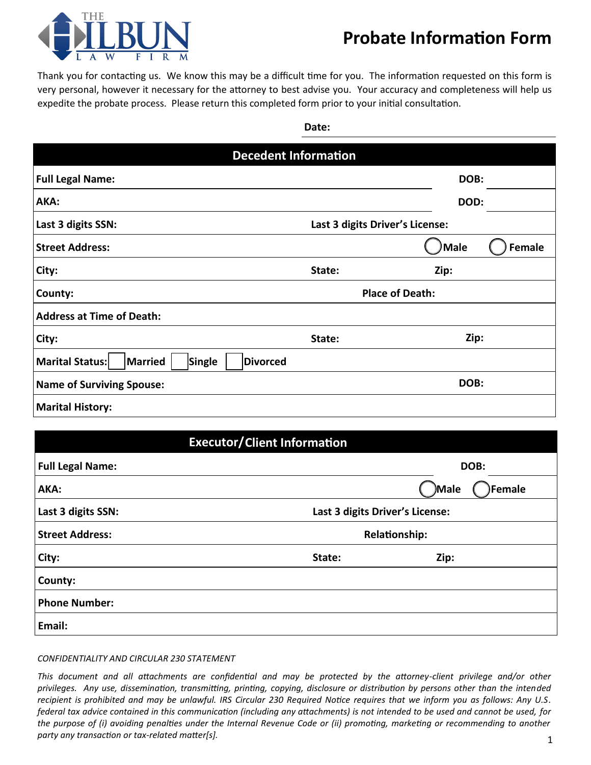

## **Probate Information Form**

Thank you for contacting us. We know this may be a difficult time for you. The information requested on this form is very personal, however it necessary for the attorney to best advise you. Your accuracy and completeness will help us expedite the probate process. Please return this completed form prior to your initial consultation.

| ۰,<br>. .<br>۰.<br>×<br>×<br>v |
|--------------------------------|
|--------------------------------|

| <b>Decedent Information</b>                                    |                                 |                       |  |  |  |  |
|----------------------------------------------------------------|---------------------------------|-----------------------|--|--|--|--|
| <b>Full Legal Name:</b>                                        |                                 | DOB:                  |  |  |  |  |
| AKA:                                                           |                                 | DOD:                  |  |  |  |  |
| Last 3 digits SSN:                                             | Last 3 digits Driver's License: |                       |  |  |  |  |
| <b>Street Address:</b>                                         |                                 | Male<br><b>Female</b> |  |  |  |  |
| City:                                                          | State:                          | Zip:                  |  |  |  |  |
| County:                                                        | <b>Place of Death:</b>          |                       |  |  |  |  |
| <b>Address at Time of Death:</b>                               |                                 |                       |  |  |  |  |
| City:                                                          | State:                          | Zip:                  |  |  |  |  |
| Marital Status:<br><b>Married</b><br>Single<br><b>Divorced</b> |                                 |                       |  |  |  |  |
| <b>Name of Surviving Spouse:</b>                               |                                 | DOB:                  |  |  |  |  |
| <b>Marital History:</b>                                        |                                 |                       |  |  |  |  |

| <b>Executor/Client Information</b> |                                 |                  |  |  |
|------------------------------------|---------------------------------|------------------|--|--|
| <b>Full Legal Name:</b>            |                                 | DOB:             |  |  |
| AKA:                               |                                 | )Male<br>)Female |  |  |
| Last 3 digits SSN:                 | Last 3 digits Driver's License: |                  |  |  |
| <b>Street Address:</b>             | <b>Relationship:</b>            |                  |  |  |
| City:                              | State:                          | Zip:             |  |  |
| County:                            |                                 |                  |  |  |
| <b>Phone Number:</b>               |                                 |                  |  |  |
| Email:                             |                                 |                  |  |  |

*CONFIDENTIALITY AND CIRCULAR 230 STATEMENT*

*This document and all attachments are confidential and may be protected by the attorney-client privilege and/or other privileges. Any use, dissemination, transmitting, printing, copying, disclosure or distribution by persons other than the intended recipient is prohibited and may be unlawful. IRS Circular 230 Required Notice requires that we inform you as follows: Any U.S. federal tax advice contained in this communication (including any attachments) is not intended to be used and cannot be used, for the purpose of (i) avoiding penalties under the Internal Revenue Code or (ii) promoting, marketing or recommending to another party any transaction or tax-related matter[s].*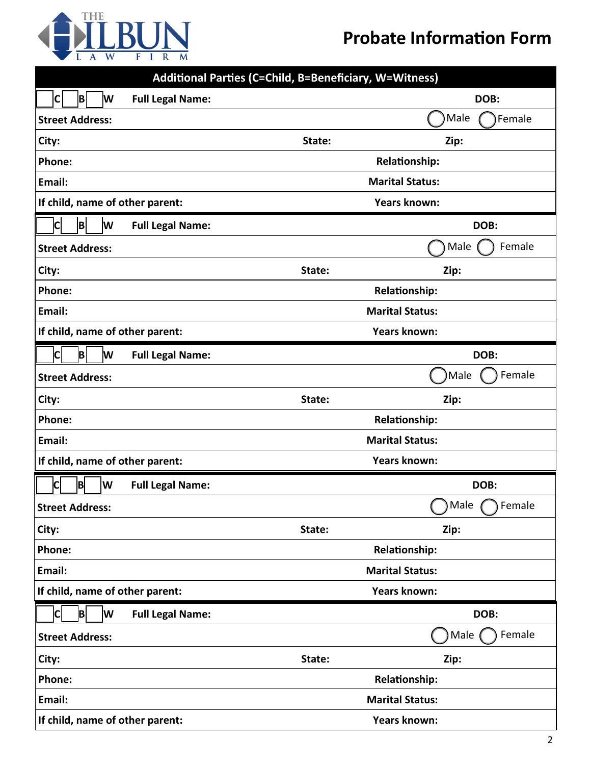

| Additional Parties (C=Child, B=Beneficiary, W=Witness) |                        |                        |  |  |  |
|--------------------------------------------------------|------------------------|------------------------|--|--|--|
| $ {\sf C} $<br>B<br>lw<br><b>Full Legal Name:</b>      |                        | DOB:                   |  |  |  |
| <b>Street Address:</b>                                 |                        | Male<br>Female         |  |  |  |
| City:                                                  | State:                 | Zip:                   |  |  |  |
| Phone:                                                 |                        | <b>Relationship:</b>   |  |  |  |
| Email:                                                 |                        | <b>Marital Status:</b> |  |  |  |
| If child, name of other parent:                        | <b>Years known:</b>    |                        |  |  |  |
| <b>Full Legal Name:</b><br> B <br>lw<br><b>ICI</b>     |                        | DOB:                   |  |  |  |
| <b>Street Address:</b>                                 |                        | Female<br>Male         |  |  |  |
| City:                                                  | State:                 | Zip:                   |  |  |  |
| Phone:                                                 |                        | <b>Relationship:</b>   |  |  |  |
| Email:                                                 | <b>Marital Status:</b> |                        |  |  |  |
| If child, name of other parent:                        | <b>Years known:</b>    |                        |  |  |  |
| B<br>W<br><b>Full Legal Name:</b><br>C                 |                        | DOB:                   |  |  |  |
| <b>Street Address:</b>                                 |                        | Male<br>Female         |  |  |  |
| City:                                                  | State:                 | Zip:                   |  |  |  |
| Phone:                                                 |                        | <b>Relationship:</b>   |  |  |  |
| Email:                                                 |                        | <b>Marital Status:</b> |  |  |  |
| If child, name of other parent:                        |                        | <b>Years known:</b>    |  |  |  |
| B<br><b>Full Legal Name:</b><br>W<br>С                 |                        | DOB:                   |  |  |  |
| <b>Street Address:</b>                                 |                        | ⌒<br>Male<br>Female    |  |  |  |
| City:                                                  | State:                 | Zip:                   |  |  |  |
| Phone:                                                 |                        | <b>Relationship:</b>   |  |  |  |
| Email:                                                 | <b>Marital Status:</b> |                        |  |  |  |
| If child, name of other parent:                        | <b>Years known:</b>    |                        |  |  |  |
| B <br>W<br>$ {\sf C} $<br><b>Full Legal Name:</b>      |                        | DOB:                   |  |  |  |
| <b>Street Address:</b>                                 |                        | Male<br>Female         |  |  |  |
| City:                                                  | State:                 | Zip:                   |  |  |  |
| Phone:                                                 |                        | Relationship:          |  |  |  |
| Email:                                                 |                        | <b>Marital Status:</b> |  |  |  |
| If child, name of other parent:                        |                        | <b>Years known:</b>    |  |  |  |